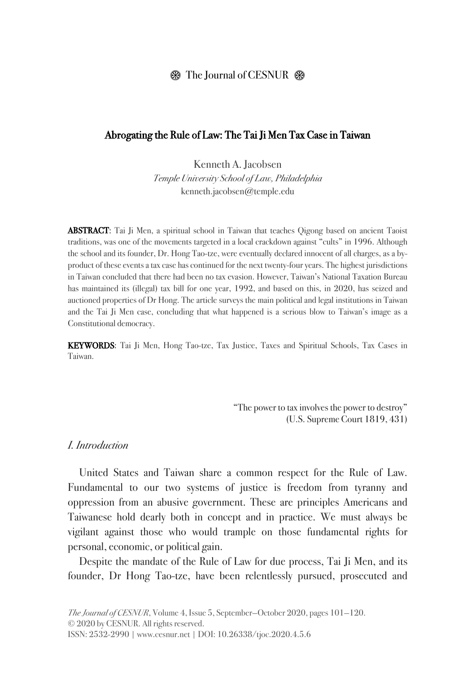# $\circledR$  The Journal of CESNUR  $\circledR$

#### Abrogating the Rule of Law: The Tai Ji Men Tax Case in Taiwan

Kenneth A. Jacobsen Temple University School of Law, Philadelphia kenneth.jacobsen@temple.edu

**ABSTRACT:** Tai Ji Men, a spiritual school in Taiwan that teaches Oigong based on ancient Taoist traditions, was one of the movements targeted in a local crackdown against "cults" in 1996. Although the school and its founder, Dr. Hong Tao-tze, were eventually declared innocent of all charges, as a byproduct of these events a tax case has continued for the next twenty-four years. The highest jurisdictions in Taiwan concluded that there had been no tax evasion. However, Taiwan's National Taxation Bureau has maintained its (illegal) tax bill for one year, 1992, and based on this, in 2020, has seized and auctioned properties of Dr Hong. The article surveys the main political and legal institutions in Taiwan and the Tai Ji Men case, concluding that what happened is a serious blow to Taiwan's image as a Constitutional democracy.

KEYWORDS: Tai Ji Men, Hong Tao-tze, Tax Justice, Taxes and Spiritual Schools, Tax Cases in Taiwan.

> "The power to tax involves the power to destroy" (U.S. Supreme Court 1819, 431)

#### *I. Introduction*

United States and Taiwan share a common respect for the Rule of Law. Fundamental to our two systems of justice is freedom from tyranny and oppression from an abusive government. These are principles Americans and Taiwanese hold dearly both in concept and in practice. We must always be vigilant against those who would trample on those fundamental rights for personal, economic, or political gain.

Despite the mandate of the Rule of Law for due process, Tai Ji Men, and its founder, Dr Hong Tao-tze, have been relentlessly pursued, prosecuted and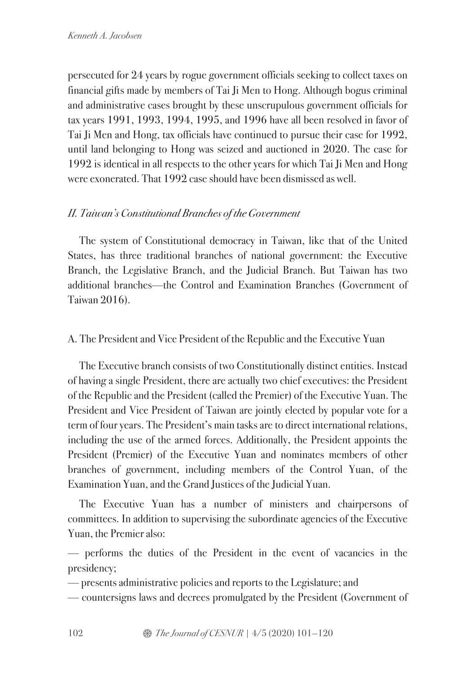persecuted for 24 years by rogue government officials seeking to collect taxes on financial gifts made by members of Tai Ji Men to Hong. Although bogus criminal and administrative cases brought by these unscrupulous government officials for tax years 1991, 1993, 1994, 1995, and 1996 have all been resolved in favor of Tai Ji Men and Hong, tax officials have continued to pursue their case for 1992, until land belonging to Hong was seized and auctioned in 2020. The case for 1992 is identical in all respects to the other years for which Tai Ji Men and Hong were exonerated. That 1992 case should have been dismissed as well.

# *II. Taiwan's Constitutional Branches of the Government*

The system of Constitutional democracy in Taiwan, like that of the United States, has three traditional branches of national government: the Executive Branch, the Legislative Branch, and the Judicial Branch. But Taiwan has two additional branches—the Control and Examination Branches (Government of Taiwan 2016).

A. The President and Vice President of the Republic and the Executive Yuan

The Executive branch consists of two Constitutionally distinct entities. Instead of having a single President, there are actually two chief executives: the President of the Republic and the President (called the Premier) of the Executive Yuan. The President and Vice President of Taiwan are jointly elected by popular vote for a term of four years. The President's main tasks are to direct international relations, including the use of the armed forces. Additionally, the President appoints the President (Premier) of the Executive Yuan and nominates members of other branches of government, including members of the Control Yuan, of the Examination Yuan, and the Grand Justices of the Judicial Yuan.

The Executive Yuan has a number of ministers and chairpersons of committees. In addition to supervising the subordinate agencies of the Executive Yuan, the Premier also:

— performs the duties of the President in the event of vacancies in the presidency;

— presents administrative policies and reports to the Legislature; and

— countersigns laws and decrees promulgated by the President (Government of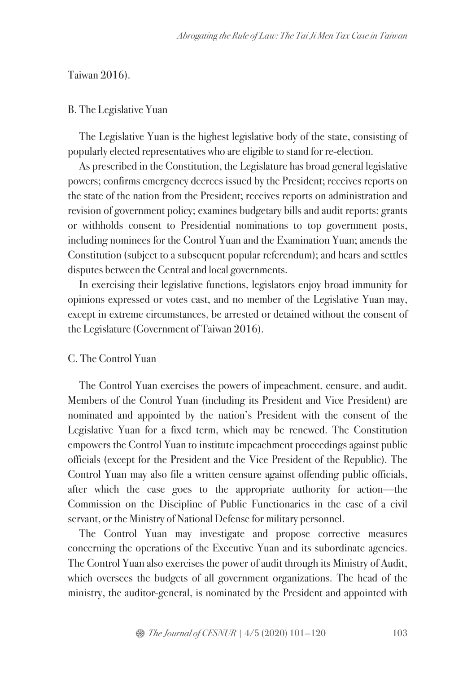#### Taiwan 2016).

#### B. The Legislative Yuan

The Legislative Yuan is the highest legislative body of the state, consisting of popularly elected representatives who are eligible to stand for re-election.

As prescribed in the Constitution, the Legislature has broad general legislative powers; confirms emergency decrees issued by the President; receives reports on the state of the nation from the President; receives reports on administration and revision of government policy; examines budgetary bills and audit reports; grants or withholds consent to Presidential nominations to top government posts, including nominees for the Control Yuan and the Examination Yuan; amends the Constitution (subject to a subsequent popular referendum); and hears and settles disputes between the Central and local governments.

In exercising their legislative functions, legislators enjoy broad immunity for opinions expressed or votes cast, and no member of the Legislative Yuan may, except in extreme circumstances, be arrested or detained without the consent of the Legislature (Government of Taiwan 2016).

#### C. The Control Yuan

The Control Yuan exercises the powers of impeachment, censure, and audit. Members of the Control Yuan (including its President and Vice President) are nominated and appointed by the nation's President with the consent of the Legislative Yuan for a fixed term, which may be renewed. The Constitution empowers the Control Yuan to institute impeachment proceedings against public officials (except for the President and the Vice President of the Republic). The Control Yuan may also file a written censure against offending public officials, after which the case goes to the appropriate authority for action—the Commission on the Discipline of Public Functionaries in the case of a civil servant, or the Ministry of National Defense for military personnel.

The Control Yuan may investigate and propose corrective measures concerning the operations of the Executive Yuan and its subordinate agencies. The Control Yuan also exercises the power of audit through its Ministry of Audit, which oversees the budgets of all government organizations. The head of the ministry, the auditor-general, is nominated by the President and appointed with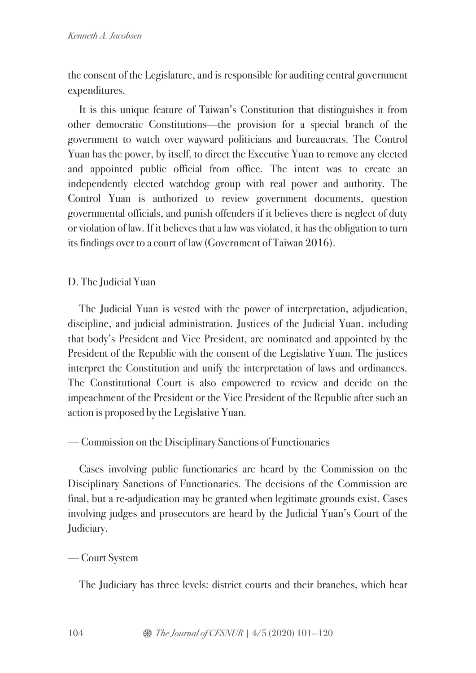the consent of the Legislature, and is responsible for auditing central government expenditures.

It is this unique feature of Taiwan's Constitution that distinguishes it from other democratic Constitutions—the provision for a special branch of the government to watch over wayward politicians and bureaucrats. The Control Yuan has the power, by itself, to direct the Executive Yuan to remove any elected and appointed public official from office. The intent was to create an independently elected watchdog group with real power and authority. The Control Yuan is authorized to review government documents, question governmental officials, and punish offenders if it believes there is neglect of duty or violation of law. If it believes that a law was violated, it has the obligation to turn its findings over to a court of law (Government of Taiwan 2016).

# D. The Judicial Yuan

The Judicial Yuan is vested with the power of interpretation, adjudication, discipline, and judicial administration. Justices of the Judicial Yuan, including that body's President and Vice President, are nominated and appointed by the President of the Republic with the consent of the Legislative Yuan. The justices interpret the Constitution and unify the interpretation of laws and ordinances. The Constitutional Court is also empowered to review and decide on the impeachment of the President or the Vice President of the Republic after such an action is proposed by the Legislative Yuan.

# — Commission on the Disciplinary Sanctions of Functionaries

Cases involving public functionaries are heard by the Commission on the Disciplinary Sanctions of Functionaries. The decisions of the Commission are final, but a re-adjudication may be granted when legitimate grounds exist. Cases involving judges and prosecutors are heard by the Judicial Yuan's Court of the Judiciary.

# — Court System

The Judiciary has three levels: district courts and their branches, which hear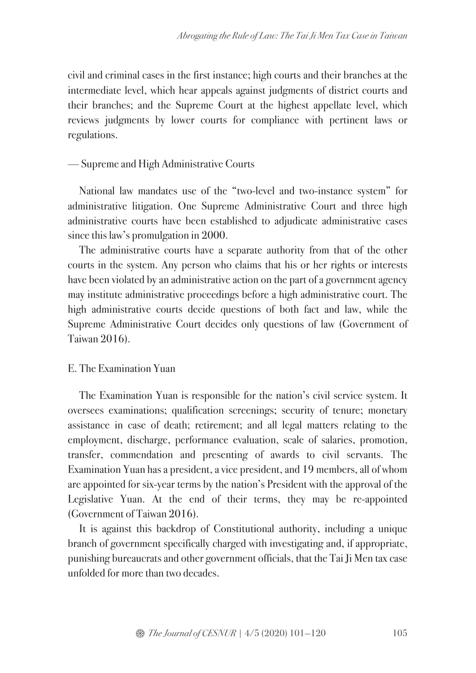civil and criminal cases in the first instance; high courts and their branches at the intermediate level, which hear appeals against judgments of district courts and their branches; and the Supreme Court at the highest appellate level, which reviews judgments by lower courts for compliance with pertinent laws or regulations.

## — Supreme and High Administrative Courts

National law mandates use of the "two-level and two-instance system" for administrative litigation. One Supreme Administrative Court and three high administrative courts have been established to adjudicate administrative cases since this law's promulgation in 2000.

The administrative courts have a separate authority from that of the other courts in the system. Any person who claims that his or her rights or interests have been violated by an administrative action on the part of a government agency may institute administrative proceedings before a high administrative court. The high administrative courts decide questions of both fact and law, while the Supreme Administrative Court decides only questions of law (Government of Taiwan 2016).

### E. The Examination Yuan

The Examination Yuan is responsible for the nation's civil service system. It oversees examinations; qualification screenings; security of tenure; monetary assistance in case of death; retirement; and all legal matters relating to the employment, discharge, performance evaluation, scale of salaries, promotion, transfer, commendation and presenting of awards to civil servants. The Examination Yuan has a president, a vice president, and 19 members, all of whom are appointed for six-year terms by the nation's President with the approval of the Legislative Yuan. At the end of their terms, they may be re-appointed (Government of Taiwan 2016).

It is against this backdrop of Constitutional authority, including a unique branch of government specifically charged with investigating and, if appropriate, punishing bureaucrats and other government officials, that the Tai Ji Men tax case unfolded for more than two decades.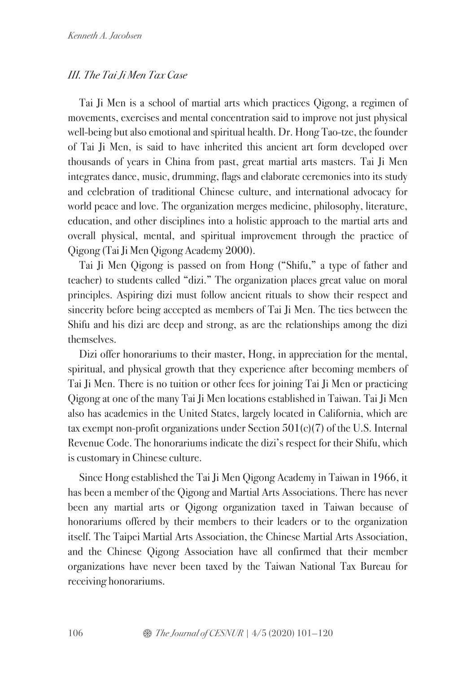# *III. The TaiJi Men Tax Case*

Tai Ji Men is a school of martial arts which practices Qigong, a regimen of movements, exercises and mental concentration said to improve not just physical well-being but also emotional and spiritual health. Dr. Hong Tao-tze, the founder of Tai Ji Men, is said to have inherited this ancient art form developed over thousands of years in China from past, great martial arts masters. Tai Ji Men integrates dance, music, drumming, flags and elaborate ceremonies into its study and celebration of traditional Chinese culture, and international advocacy for world peace and love. The organization merges medicine, philosophy, literature, education, and other disciplines into a holistic approach to the martial arts and overall physical, mental, and spiritual improvement through the practice of Qigong (Tai Ji Men Qigong Academy 2000).

Tai Ji Men Qigong is passed on from Hong ("Shifu," a type of father and teacher) to students called "dizi." The organization places great value on moral principles. Aspiring dizi must follow ancient rituals to show their respect and sincerity before being accepted as members of Tai Ji Men. The ties between the Shifu and his dizi are deep and strong, as are the relationships among the dizi themselves.

Dizi offer honorariums to their master, Hong, in appreciation for the mental, spiritual, and physical growth that they experience after becoming members of Tai Ji Men. There is no tuition or other fees for joining Tai Ji Men or practicing Qigong at one of the many Tai Ji Men locations established in Taiwan. Tai Ji Men also has academies in the United States, largely located in California, which are tax exempt non-profit organizations under Section 501(c)(7) of the U.S. Internal Revenue Code. The honorariums indicate the dizi's respect for their Shifu, which is customary in Chinese culture.

Since Hong established the Tai Ji Men Qigong Academy in Taiwan in 1966, it has been a member of the Qigong and Martial Arts Associations. There has never been any martial arts or Qigong organization taxed in Taiwan because of honorariums offered by their members to their leaders or to the organization itself. The Taipei Martial Arts Association, the Chinese Martial Arts Association, and the Chinese Qigong Association have all confirmed that their member organizations have never been taxed by the Taiwan National Tax Bureau for receiving honorariums.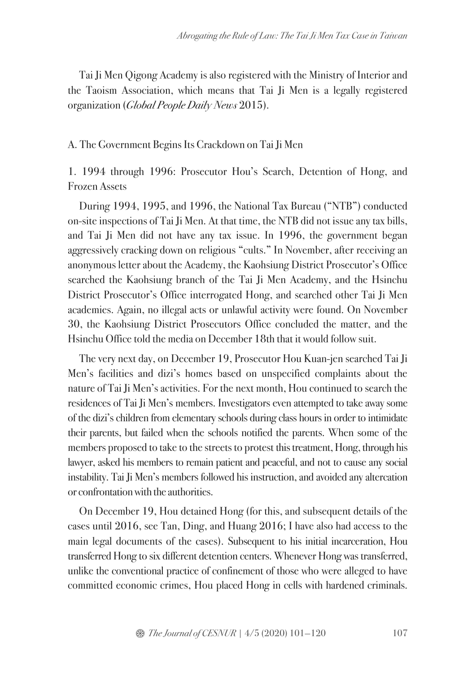Tai Ji Men Qigong Academy is also registered with the Ministry of Interior and the Taoism Association, which means that Tai Ji Men is a legally registered organization (*Global People Daily News* 2015).

# A. The Government Begins Its Crackdown on Tai Ji Men

1. 1994 through 1996: Prosecutor Hou's Search, Detention of Hong, and Frozen Assets

During 1994, 1995, and 1996, the National Tax Bureau ("NTB") conducted on-site inspections of Tai Ji Men. At that time, the NTB did not issue any tax bills, and Tai Ji Men did not have any tax issue. In 1996, the government began aggressively cracking down on religious "cults." In November, after receiving an anonymous letter about the Academy, the Kaohsiung District Prosecutor's Office searched the Kaohsiung branch of the Tai Ji Men Academy, and the Hsinchu District Prosecutor's Office interrogated Hong, and searched other Tai Ji Men academies. Again, no illegal acts or unlawful activity were found. On November 30, the Kaohsiung District Prosecutors Office concluded the matter, and the Hsinchu Office told the media on December 18th that it would follow suit.

The very next day, on December 19, Prosecutor Hou Kuan-jen searched Tai Ji Men's facilities and dizi's homes based on unspecified complaints about the nature of Tai Ji Men's activities. For the next month, Hou continued to search the residences of Tai Ji Men's members. Investigators even attempted to take away some of the dizi's children from elementary schools during class hours in order to intimidate their parents, but failed when the schools notified the parents. When some of the members proposed to take to the streets to protest this treatment, Hong, through his lawyer, asked his members to remain patient and peaceful, and not to cause any social instability. Tai Ji Men's members followed his instruction, and avoided any altercation or confrontation with the authorities.

On December 19, Hou detained Hong (for this, and subsequent details of the cases until 2016, see Tan, Ding, and Huang 2016; I have also had access to the main legal documents of the cases). Subsequent to his initial incarceration, Hou transferred Hong to six different detention centers. Whenever Hong was transferred, unlike the conventional practice of confinement of those who were alleged to have committed economic crimes, Hou placed Hong in cells with hardened criminals.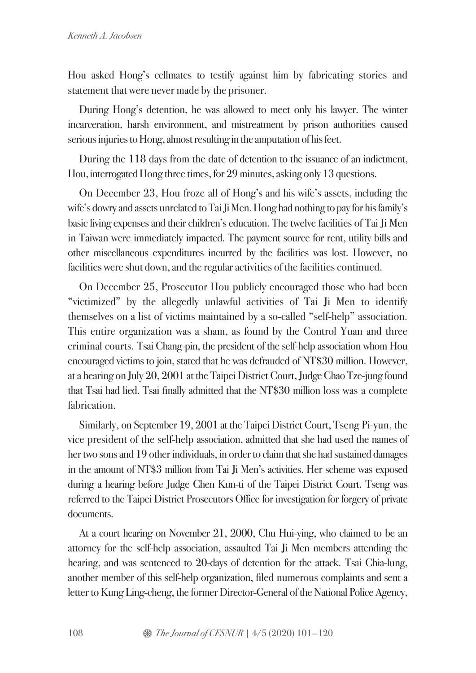Hou asked Hong's cellmates to testify against him by fabricating stories and statement that were never made by the prisoner.

During Hong's detention, he was allowed to meet only his lawyer. The winter incarceration, harsh environment, and mistreatment by prison authorities caused serious injuries to Hong, almost resulting in the amputation of his feet.

During the 118 days from the date of detention to the issuance of an indictment, Hou, interrogated Hong three times, for 29 minutes, asking only 13 questions.

On December 23, Hou froze all of Hong's and his wife's assets, including the wife's dowry and assets unrelated to Tai Ji Men. Hong had nothing to pay for his family's basic living expenses and their children's education. The twelve facilities of Tai Ji Men in Taiwan were immediately impacted. The payment source for rent, utility bills and other miscellaneous expenditures incurred by the facilities was lost. However, no facilities were shut down, and the regular activities of the facilities continued.

On December 25, Prosecutor Hou publicly encouraged those who had been "victimized" by the allegedly unlawful activities of Tai Ji Men to identify themselves on a list of victims maintained by a so-called "self-help" association. This entire organization was a sham, as found by the Control Yuan and three criminal courts. Tsai Chang-pin, the president of the self-help association whom Hou encouraged victims to join, stated that he was defrauded of NT\$30 million. However, at a hearing on July 20, 2001 at the Taipei District Court,JudgeChao Tze-jung found that Tsai had lied. Tsai finally admitted that the NT\$30 million loss was a complete fabrication.

Similarly, on September 19, 2001 at the Taipei District Court, Tseng Pi-yun, the vice president of the self-help association, admitted that she had used the names of her two sons and 19 other individuals, in order to claim that she had sustained damages in the amount of NT\$3 million from Tai Ji Men's activities. Her scheme was exposed during a hearing before Judge Chen Kun-ti of the Taipei District Court. Tseng was referred to the Taipei District Prosecutors Office for investigation for forgery of private documents.

At a court hearing on November 21, 2000, Chu Hui-ying, who claimed to be an attorney for the self-help association, assaulted Tai Ji Men members attending the hearing, and was sentenced to 20-days of detention for the attack. Tsai Chia-lung, another member of this self-help organization, filed numerous complaints and sent a letter to Kung Ling-cheng, the former Director-General of the National Police Agency,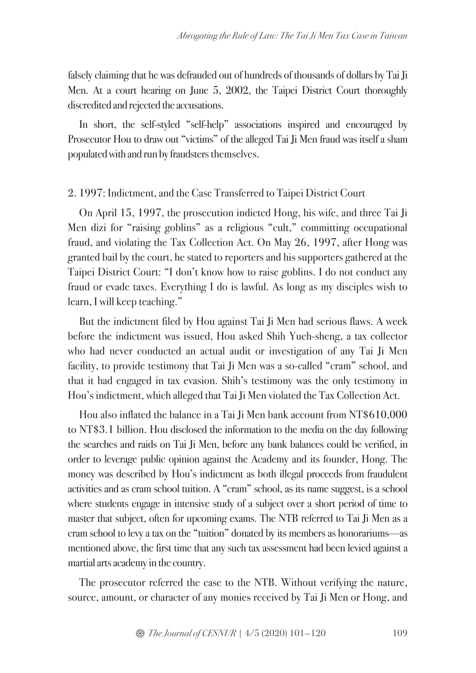falsely claiming that he was defrauded out of hundreds of thousands of dollars by Tai Ji Men. At a court hearing on June 5, 2002, the Taipei District Court thoroughly discredited and rejected the accusations.

In short, the self-styled "self-help" associations inspired and encouraged by Prosecutor Hou to draw out "victims" of the alleged Tai Ji Men fraud was itself a sham populated with and run by fraudsters themselves.

### 2. 1997: Indictment, and the Case Transferred to Taipei District Court

On April 15, 1997, the prosecution indicted Hong, his wife, and three Tai Ji Men dizi for "raising goblins" as a religious "cult," committing occupational fraud, and violating the Tax Collection Act. On May 26, 1997, after Hong was granted bail by the court, he stated to reportersand his supporters gathered at the Taipei District Court: "I don't know how to raise goblins. I do not conduct any fraud or evade taxes. Everything I do is lawful. As long as my disciples wish to learn, I will keep teaching."

But the indictment filed by Hou against Tai Ji Men had serious flaws. A week before the indictment was issued, Hou asked Shih Yueh-sheng, a tax collector who had never conducted an actual audit or investigation of any Tai Ji Men facility, to provide testimony that Tai Ji Men was a so-called "cram" school, and that it had engaged in tax evasion. Shih's testimony was the only testimony in Hou's indictment, which alleged that Tai Ji Men violated the Tax Collection Act.

Hou also inflated the balance in a Tai Ji Men bank account from NT\$610,000 to NT\$3.1 billion. Hou disclosed the information to the media on the day following the searches and raids on Tai Ji Men, before any bank balances could be verified, in order to leverage public opinion against the Academy and its founder, Hong. The money was described by Hou's indictment as both illegal proceeds from fraudulent activities and as cram school tuition. A "cram" school, as its name suggest, is a school where students engage in intensive study of a subject over a short period of time to master that subject, often for upcoming exams. The NTB referred to Tai Ji Men as a cram school to levy a tax on the "tuition" donated by its members as honorariums—as mentioned above, the first time that any such tax assessment had been levied against a martial arts academy in the country.

The prosecutor referred the case to the NTB. Without verifying the nature, source, amount, or character of any monies received by Tai Ji Men or Hong, and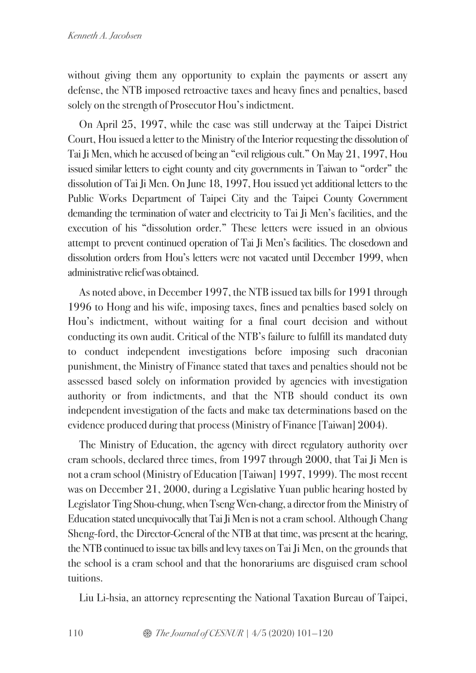without giving them any opportunity to explain the payments or assert any defense, the NTB imposed retroactive taxes and heavy fines and penalties, based solely on the strength of Prosecutor Hou's indictment.

On April 25, 1997, while the case was still underway at the Taipei District Court, Hou issued a letter to the Ministry of the Interior requesting the dissolution of Tai Ji Men, which he accused of being an "evil religious cult." On May 21, 1997, Hou issued similar letters to eight county and city governments in Taiwan to "order" the dissolution of Tai Ji Men. On June 18, 1997, Hou issued yet additional letters to the Public Works Department of Taipei City and the Taipei County Government demanding the termination of water and electricity to Tai Ji Men's facilities, and the execution of his "dissolution order." These letters were issued in an obvious attempt to prevent continued operation of Tai Ji Men's facilities. The closedown and dissolution orders from Hou's letters were not vacated until December 1999, when administrative relief was obtained.

As noted above, in December 1997, the NTB issued tax bills for 1991 through 1996 to Hong and his wife, imposing taxes, fines and penalties based solely on Hou's indictment, without waiting for a final court decision and without conducting its own audit. Critical of the NTB's failure to fulfill its mandated duty to conduct independent investigations before imposing such draconian punishment, the Ministry of Finance stated that taxes and penalties should not be assessed based solely on information provided by agencies with investigation authority or from indictments, and that the NTB should conduct its own independent investigation of the facts and make tax determinations based on the evidence produced during that process (Ministry of Finance [Taiwan] 2004).

The Ministry of Education, the agency with direct regulatory authority over cram schools, declared three times, from 1997 through 2000, that Tai Ji Men is not a cram school (Ministry of Education [Taiwan] 1997, 1999). The most recent was on December 21, 2000, during a Legislative Yuan public hearing hosted by Legislator Ting Shou-chung, when Tseng Wen-chang, a director from the Ministry of Education stated unequivocally that TaiJi Men is not a cram school. Although Chang Sheng-ford, the Director-General of the NTB at that time, was present at the hearing, the NTB continued to issue tax bills and levy taxes on Tai Ji Men, on the grounds that the school is a cram school and that the honorariums are disguised cram school tuitions.

Liu Li-hsia, an attorney representing the National Taxation Bureau of Taipei,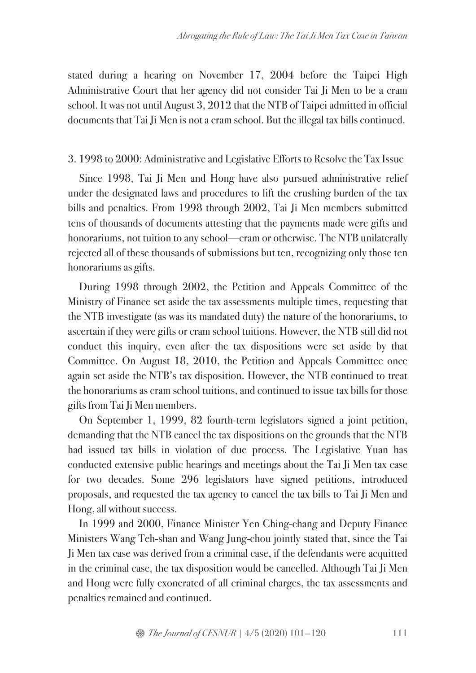stated during a hearing on November 17, 2004 before the Taipei High Administrative Court that her agency did not consider Tai Ji Men to be a cram school. It was not until August 3, 2012 that the NTB of Taipei admitted in official documents that Tai Ji Men is not a cram school. But the illegal tax bills continued.

## 3. 1998 to 2000: Administrative and Legislative Efforts to Resolve the Tax Issue

Since 1998, Tai Ji Men and Hong have also pursued administrative relief under the designated laws and procedures to lift the crushing burden of the tax bills and penalties. From 1998 through 2002, Tai Ji Men members submitted tens of thousands of documents attesting that the payments made were gifts and honorariums, not tuition to any school—cram or otherwise. The NTB unilaterally rejected all of these thousands of submissions but ten, recognizing only those ten honorariums as gifts.

During 1998 through 2002, the Petition and Appeals Committee of the Ministry of Finance set aside the tax assessments multiple times, requesting that the NTB investigate (as was its mandated duty) the nature of the honorariums, to ascertain if they were gifts or cram school tuitions. However, the NTB still did not conduct this inquiry, even after the tax dispositions were set aside by that Committee. On August 18, 2010, the Petition and Appeals Committee once again set aside the NTB's tax disposition. However, the NTB continued to treat the honorariums as cram school tuitions, and continued to issue tax bills for those gifts from Tai Ji Men members.

On September 1, 1999, 82 fourth-term legislators signed a joint petition, demanding that the NTB cancel the tax dispositions on the grounds that the NTB had issued tax bills in violation of due process. The Legislative Yuan has conducted extensive public hearings and meetings about the Tai Ji Men tax case for two decades. Some 296 legislators have signed petitions, introduced proposals, and requested the tax agency to cancel the tax bills to Tai Ji Men and Hong,all without success.

In 1999 and 2000, Finance Minister Yen Ching-chang and Deputy Finance Ministers Wang Teh-shan and Wang Jung-chou jointly stated that, since the Tai Ji Men tax case was derived from a criminal case, if the defendants were acquitted in the criminal case, the tax disposition would be cancelled. Although Tai Ji Men and Hong were fully exonerated of all criminal charges, the tax assessments and penalties remained and continued.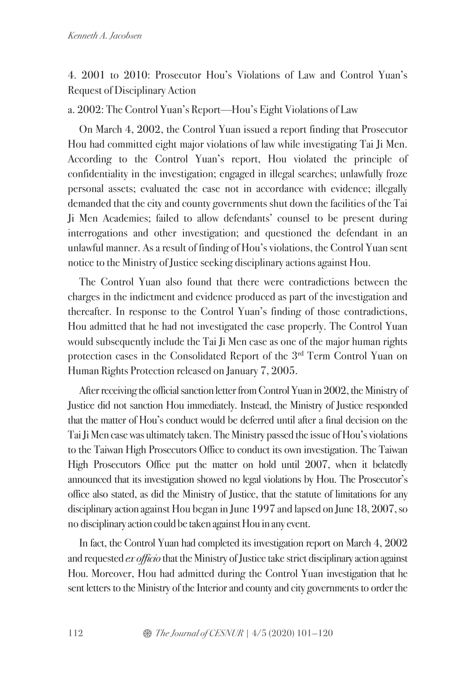# 4. 2001 to 2010: Prosecutor Hou's Violations of Law and Control Yuan's Request of Disciplinary Action

a. 2002: The Control Yuan's Report—Hou's Eight Violations of Law

On March 4, 2002, the Control Yuan issued a report finding that Prosecutor Hou had committed eight major violations of law while investigating Tai Ji Men. According to the Control Yuan's report, Hou violated the principle of confidentiality in the investigation; engaged in illegal searches; unlawfully froze personal assets; evaluated the case not in accordance with evidence; illegally demanded that the city and county governments shut down the facilities of the Tai Ji Men Academies; failed to allow defendants' counsel to be present during interrogations and other investigation; and questioned the defendant in an unlawful manner. As a result of finding of Hou's violations, the Control Yuan sent notice to the Ministry of Justice seeking disciplinary actions against Hou.

The Control Yuan also found that there were contradictions between the charges in the indictment and evidence produced as part of the investigation and thereafter. In response to the Control Yuan's finding of those contradictions, Hou admitted that he had not investigated the case properly. The Control Yuan would subsequently include the Tai Ji Men case as one of the major human rights protection cases in the Consolidated Report of the 3rd Term Control Yuan on Human Rights Protection released on January 7, 2005.

After receiving the official sanction letter from Control Yuan in 2002, the Ministry of Justice did not sanction Hou immediately. Instead, the Ministry of Justice responded that the matter of Hou's conduct would be deferred until after a final decision on the Tai Ji Men case was ultimately taken. The Ministry passed the issue of Hou's violations to the Taiwan High Prosecutors Office to conduct its own investigation. The Taiwan High Prosecutors Office put the matter on hold until 2007, when it belatedly announced that its investigation showed no legal violations by Hou. The Prosecutor's office also stated, as did the Ministry of Justice, that the statute of limitations for any disciplinary action against Hou began in June 1997 and lapsed on June 18, 2007, so no disciplinary action could be taken against Hou in any event.

In fact, the Control Yuan had completed its investigation report on March 4, 2002 and requested *ex officio* that the Ministry of Justice take strict disciplinary action against Hou. Moreover, Hou had admitted during the Control Yuan investigation that he sent letters to the Ministry of the Interior and county and city governments to order the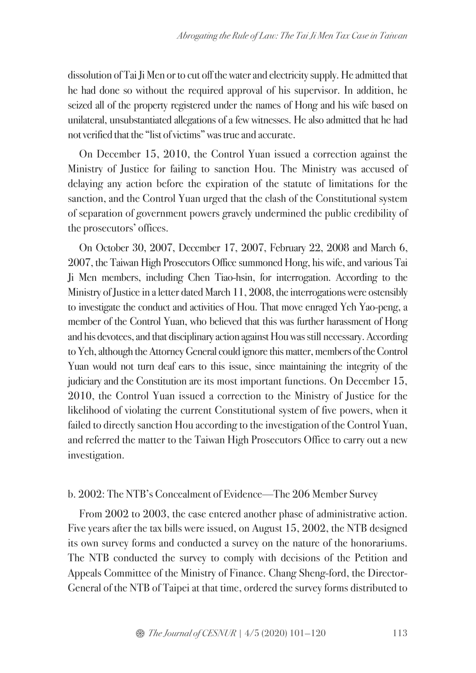dissolution of Tai Ji Men or to cut off the water and electricity supply. He admitted that he had done so without the required approval of his supervisor. In addition, he seized all of the property registered under the names of Hong and his wife based on unilateral, unsubstantiated allegations of a few witnesses. He also admitted that he had not verified that the "list of victims" was true and accurate.

On December 15, 2010, the Control Yuan issued a correction against the Ministry of Justice for failing to sanction Hou. The Ministry was accused of delaying any action before the expiration of the statute of limitations for the sanction, and the Control Yuan urged that the clash of the Constitutional system of separation of government powers gravely undermined the public credibility of the prosecutors' offices.

On October 30, 2007, December 17, 2007, February 22, 2008 and March 6, 2007, the Taiwan High Prosecutors Office summoned Hong, his wife, and various Tai Ji Men members, including Chen Tiao-hsin, for interrogation. According to the Ministry of Justice in a letter dated March 11, 2008, the interrogations were ostensibly to investigate the conduct and activities of Hou. That move enraged Yeh Yao-peng, a member of the Control Yuan, who believed that this was further harassment of Hong and his devotees, and that disciplinary action against Hou was still necessary. According to Yeh, although the AttorneyGeneral could ignore this matter, members of the Control Yuan would not turn deaf ears to this issue, since maintaining the integrity of the judiciary and the Constitution are its most important functions. On December 15, 2010, the Control Yuan issued a correction to the Ministry of Justice for the likelihood of violating the current Constitutional system of five powers, when it failed to directly sanction Hou according to the investigation of the Control Yuan, and referred the matter to the Taiwan High Prosecutors Office to carry out a new investigation.

# b. 2002: The NTB's Concealment of Evidence—The 206 Member Survey

From 2002 to 2003, the case entered another phase of administrative action. Five years after the tax bills were issued, on August 15, 2002, the NTB designed its own survey forms and conducted a survey on the nature of the honorariums. The NTB conducted the survey to comply with decisions of the Petition and Appeals Committee of the Ministry of Finance. Chang Sheng-ford, the Director-General of the NTB of Taipei at that time, ordered the survey forms distributed to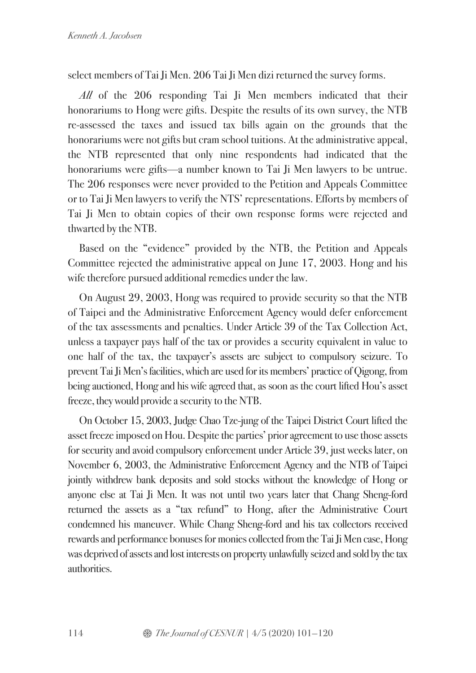select members of Tai Ji Men. 206 Tai Ji Men dizi returned the survey forms.

*All* of the 206 responding Tai Ji Men members indicated that their honorariums to Hong were gifts. Despite the results of its own survey, the NTB re-assessed the taxes and issued tax bills again on the grounds that the honorariums were not gifts but cram school tuitions. At the administrative appeal, the NTB represented that only nine respondents had indicated that the honorariums were gifts—a number known to Tai Ji Men lawyers to be untrue. The 206 responses were never provided to the Petition and Appeals Committee or to Tai Ji Men lawyers to verify the NTS' representations. Efforts by members of Tai Ji Men to obtain copies of their own response forms were rejected and thwarted by the NTB.

Based on the "evidence" provided by the NTB, the Petition and Appeals Committee rejected the administrative appeal on June 17, 2003. Hong and his wife therefore pursued additional remedies under the law.

On August 29, 2003, Hong was required to provide security so that the NTB of Taipei and the Administrative Enforcement Agency would defer enforcement of the tax assessments and penalties. Under Article 39 of the Tax Collection Act, unless a taxpayer pays half of the tax or provides a security equivalent in value to one half of the tax, the taxpayer's assets are subject to compulsory seizure. To prevent Tai Ji Men's facilities, which are used for its members' practice of Qigong, from being auctioned, Hong and his wife agreed that, as soon as the court lifted Hou's asset freeze, they would provide a security to the NTB.

On October 15, 2003, Judge Chao Tze-jung of the Taipei District Court lifted the asset freeze imposed on Hou. Despite the parties' prior agreement to use those assets for security and avoid compulsory enforcement under Article 39, just weeks later, on November 6, 2003, the Administrative Enforcement Agency and the NTB of Taipei jointly withdrew bank deposits and sold stocks without the knowledge of Hong or anyone else at Tai Ji Men. It was not until two years later that Chang Sheng-ford returned the assets as a "tax refund" to Hong, after the Administrative Court condemned his maneuver. While Chang Sheng-ford and his tax collectors received rewards and performance bonuses for monies collected from the Tai Ji Men case, Hong was deprived of assets and lost interests on property unlawfully seized and sold by the tax authorities.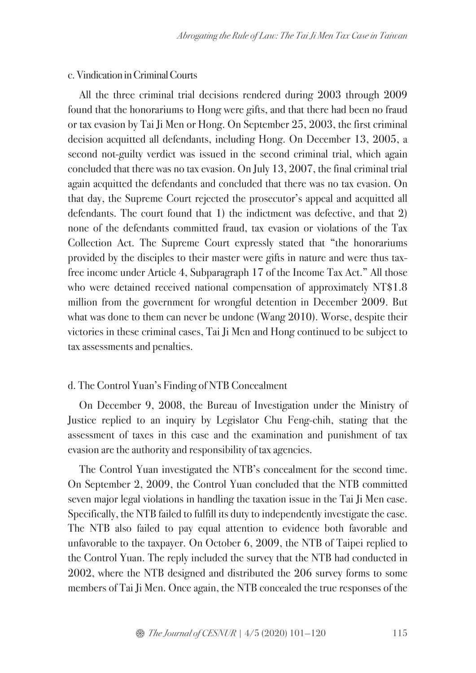### c. Vindication in Criminal Courts

All the three criminal trial decisions rendered during 2003 through 2009 found that the honorariums to Hong were gifts, and that there had been no fraud or tax evasion by Tai Ji Men or Hong. On September 25, 2003, the first criminal decision acquitted all defendants, including Hong. On December 13, 2005, a second not-guilty verdict was issued in the second criminal trial, which again concluded that there was no tax evasion. On July 13, 2007, the final criminal trial again acquitted the defendants and concluded that there was no tax evasion. On that day, the Supreme Court rejected the prosecutor's appeal and acquitted all defendants. The court found that 1) the indictment was defective, and that 2) none of the defendants committed fraud, tax evasion or violations of the Tax Collection Act. The Supreme Court expressly stated that "the honorariums provided by the disciples to their master were gifts in nature and were thus taxfree income under Article 4, Subparagraph 17 of the Income Tax Act." All those who were detained received national compensation of approximately NT\$1.8 million from the government for wrongful detention in December 2009. But what was done to them can never be undone (Wang 2010). Worse, despite their victories in these criminal cases, Tai Ji Men and Hong continued to be subject to tax assessments and penalties.

### d. The Control Yuan's Finding of NTB Concealment

On December 9, 2008, the Bureau of Investigation under the Ministry of Justice replied to an inquiry by Legislator Chu Feng-chih, stating that the assessment of taxes in this case and the examination and punishment of tax evasion are the authority and responsibility of tax agencies.

The Control Yuan investigated the NTB's concealment for the second time. On September 2, 2009, the Control Yuan concluded that the NTB committed seven major legal violations in handling the taxation issue in the Tai Ji Men case. Specifically, the NTB failed to fulfill its duty to independently investigate the case. The NTB also failed to pay equal attention to evidence both favorable and unfavorable to the taxpayer. On October 6, 2009, the NTB of Taipei replied to the Control Yuan. The reply included the survey that the NTB had conducted in 2002, where the NTB designed and distributed the 206 survey forms to some members of Tai Ji Men. Once again, the NTB concealed the true responses of the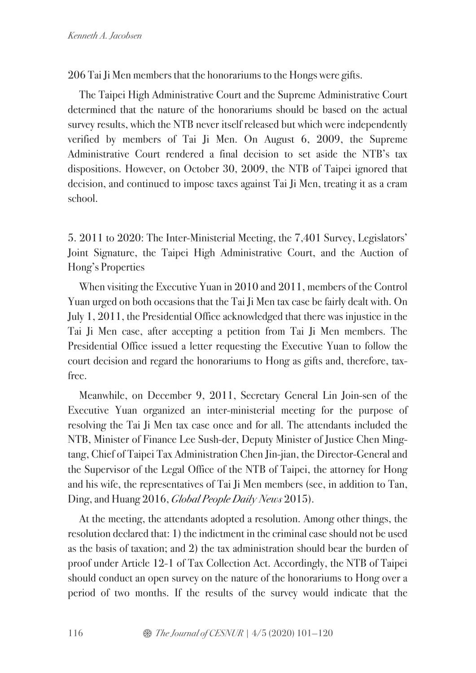206 Tai Ji Men members that the honorariums to the Hongs were gifts.

The Taipei High Administrative Court and the Supreme Administrative Court determined that the nature of the honorariums should be based on the actual survey results, which the NTB never itself released but which were independently verified by members of Tai Ji Men. On August 6, 2009, the Supreme Administrative Court rendered a final decision to set aside the NTB's tax dispositions. However, on October 30, 2009, the NTB of Taipei ignored that decision, and continued to impose taxes against Tai Ji Men, treating it as a cram school.

5. 2011 to 2020: The Inter-Ministerial Meeting, the 7,401 Survey, Legislators' Joint Signature, the Taipei High Administrative Court, and the Auction of Hong's Properties

When visiting the Executive Yuan in 2010 and 2011, members of the Control Yuan urged on both occasions that the Tai Ji Men tax case be fairly dealt with. On July 1, 2011, the Presidential Office acknowledged that there was injustice in the Tai Ji Men case, after accepting a petition from Tai Ji Men members. The Presidential Office issued a letter requesting the Executive Yuan to follow the court decision and regard the honorariums to Hong as gifts and, therefore, taxfree.

Meanwhile, on December 9, 2011, Secretary General Lin Join-sen of the Executive Yuan organized an inter-ministerial meeting for the purpose of resolving the Tai Ji Men tax case once and for all. The attendants included the NTB, Minister of Finance Lee Sush-der, Deputy Minister of Justice Chen Mingtang, Chief of Taipei Tax Administration Chen Jin-jian, the Director-General and the Supervisor of the Legal Office of the NTB of Taipei, the attorney for Hong and his wife, the representatives of Tai Ji Men members (see, in addition to Tan, Ding, and Huang 2016, *Global People Daily News* 2015).

At the meeting, the attendants adopted a resolution. Among other things, the resolution declared that: 1) the indictment in the criminal case should not be used as the basis of taxation; and 2) the tax administration should bear the burden of proof under Article 12-1 of Tax Collection Act. Accordingly, the NTB of Taipei should conduct an open survey on the nature of the honorariums to Hong over a period of two months. If the results of the survey would indicate that the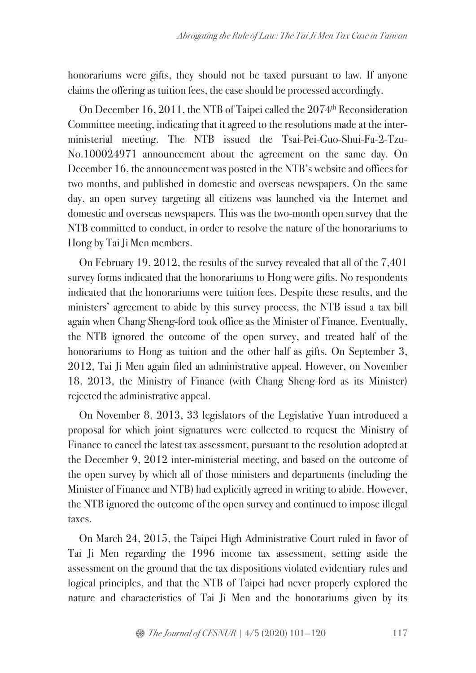honorariums were gifts, they should not be taxed pursuant to law. If anyone claims the offering as tuition fees, the case should be processed accordingly.

On December 16, 2011, the NTB of Taipei called the 2074<sup>th</sup> Reconsideration Committee meeting, indicating that it agreed to the resolutions made at the interministerial meeting. The NTB issued the Tsai-Pei-Guo-Shui-Fa-2-Tzu-No.100024971 announcement about the agreement on the same day. On December 16, the announcement was posted in the NTB's website and offices for two months, and published in domestic and overseas newspapers. On the same day, an open survey targeting all citizens was launched via the Internet and domestic and overseas newspapers. This was the two-month open survey that the NTB committed to conduct, in order to resolve the nature of the honorariums to Hong by Tai Ji Men members.

On February 19, 2012, the results of the survey revealed that all of the 7,401 survey forms indicated that the honorariums to Hong were gifts. No respondents indicated that the honorariums were tuition fees. Despite these results, and the ministers' agreement to abide by this survey process, the NTB issud a tax bill again when Chang Sheng-ford took office as the Minister of Finance. Eventually, the NTB ignored the outcome of the open survey, and treated half of the honorariums to Hong as tuition and the other half as gifts. On September 3, 2012, Tai Ji Men again filed an administrative appeal. However, on November 18, 2013, the Ministry of Finance (with Chang Sheng-ford as its Minister) rejected the administrative appeal.

On November 8, 2013, 33 legislators of the Legislative Yuan introduced a proposal for which joint signatures were collected to request the Ministry of Finance to cancel the latest tax assessment, pursuant to the resolution adopted at the December 9, 2012 inter-ministerial meeting, and based on the outcome of the open survey by which all of those ministers and departments (including the Minister of Finance and NTB) had explicitly agreed in writing to abide. However, the NTB ignored the outcome of the open survey and continued to impose illegal taxes.

On March 24, 2015, the Taipei High Administrative Court ruled in favor of Tai Ji Men regarding the 1996 income tax assessment, setting aside the assessment on the ground that the tax dispositions violated evidentiary rules and logical principles, and that the NTB of Taipei had never properly explored the nature and characteristics of Tai Ji Men and the honorariums given by its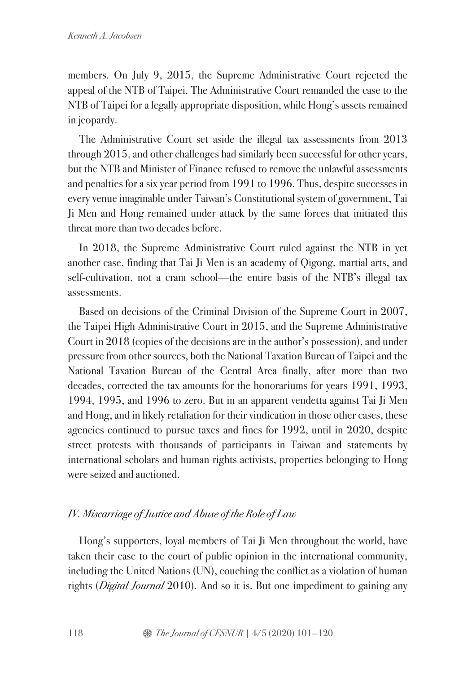members. On July 9, 2015, the Supreme Administrative Court rejected the appeal of the NTB of Taipei. The Administrative Court remanded the case to the NTB of Taipei for a legally appropriate disposition, while Hong's assets remained in jeopardy.

The Administrative Court set aside the illegal tax assessments from 2013 through 2015, and other challenges had similarly been successful for other years, but the NTB and Minister of Finance refused to remove the unlawful assessments and penalties for a six year period from 1991 to 1996. Thus, despite successes in every venue imaginable under Taiwan's Constitutional system of government, Tai Ji Men and Hong remained under attack by the same forces that initiated this threat more than two decades before.

In 2018, the Supreme Administrative Court ruled against the NTB in yet another case, finding that Tai Ji Men is an academy of Qigong, martial arts, and self-cultivation, not a cram school—the entire basis of the NTB's illegal tax assessments.

Based on decisions of the Criminal Division of the Supreme Court in 2007, the Taipei High Administrative Court in 2015, and the Supreme Administrative Court in 2018 (copies of the decisions are in the author's possession), and under pressure from other sources, both the National Taxation Bureau of Taipei and the National Taxation Bureau of the Central Area finally, after more than two decades, corrected the tax amounts for the honorariums for years 1991, 1993, 1994, 1995, and 1996 to zero. But in an apparent vendetta against Tai Ji Men and Hong, and in likely retaliation for their vindication in those other cases, these agencies continued to pursue taxes and fines for 1992, until in 2020, despite street protests with thousands of participants in Taiwan and statements by international scholars and human rights activists, properties belonging to Hong were seized and auctioned.

# *IV. Miscarriage ofJustice and Abuse of the Role of Law*

Hong's supporters, loyal members of Tai Ji Men throughout the world, have taken their case to the court of public opinion in the international community, including the United Nations (UN), couching the conflict as a violation of human rights (*Digital Journal* 2010). And so it is. But one impediment to gaining any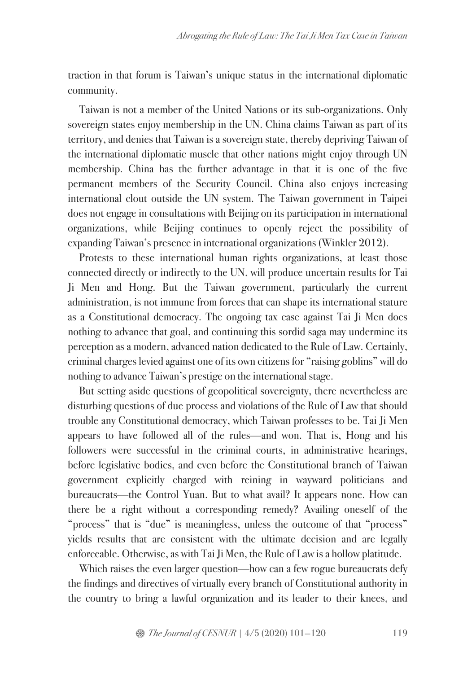traction in that forum is Taiwan's unique status in the international diplomatic community.

Taiwan is not a member of the United Nations or its sub-organizations. Only sovereign states enjoy membership in the UN. China claims Taiwan as part of its territory, and denies that Taiwan is a sovereign state, thereby depriving Taiwan of the international diplomatic muscle that other nations might enjoy through UN membership. China has the further advantage in that it is one of the five permanent members of the Security Council. China also enjoys increasing international clout outside the UN system. The Taiwan government in Taipei does not engage in consultations with Beijing on its participation in international organizations, while Beijing continues to openly reject the possibility of expanding Taiwan's presence in international organizations (Winkler 2012).

Protests to these international human rights organizations, at least those connected directly or indirectly to the UN, will produce uncertain results for Tai Ji Men and Hong. But the Taiwan government, particularly the current administration, is not immune from forces that can shape its international stature as a Constitutional democracy. The ongoing tax case against Tai Ji Men does nothing to advance that goal, and continuing this sordid saga may undermine its perception as a modern, advanced nation dedicated to the Rule of Law. Certainly, criminal charges levied against one of its own citizens for "raising goblins" will do nothing to advance Taiwan's prestige on the international stage.

But setting aside questions of geopolitical sovereignty, there nevertheless are disturbing questions of due process and violations of the Rule of Law that should trouble any Constitutional democracy, which Taiwan professes to be. Tai Ji Men appears to have followed all of the rules—and won. That is, Hong and his followers were successful in the criminal courts, in administrative hearings, before legislative bodies, and even before the Constitutional branch of Taiwan government explicitly charged with reining in wayward politicians and bureaucrats—the Control Yuan. But to what avail? It appears none. How can there be a right without a corresponding remedy? Availing oneself of the "process" that is "due" is meaningless, unless the outcome of that "process" yields results that are consistent with the ultimate decision and are legally enforceable. Otherwise, as with Tai Ji Men, the Rule of Law is a hollow platitude.

Which raises the even larger question—how can a few rogue bureaucrats defy the findings and directives of virtually every branch of Constitutional authority in the country to bring a lawful organization and its leader to their knees, and